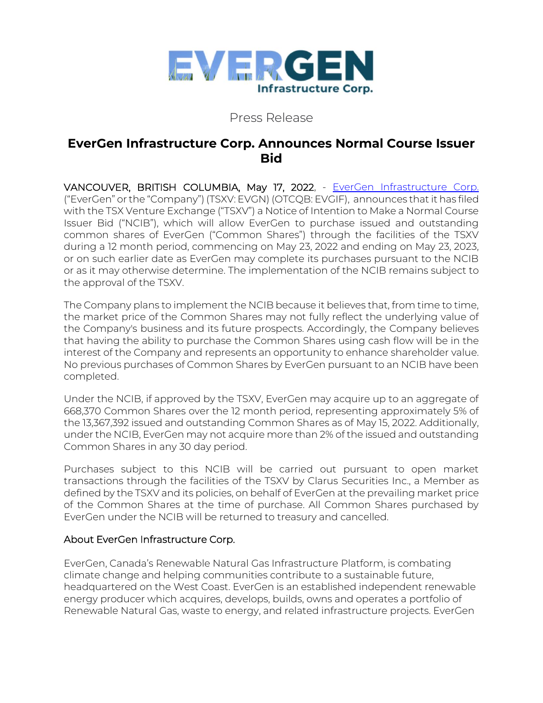

## Press Release

# **EverGen Infrastructure Corp. Announces Normal Course Issuer Bid**

VANCOUVER, BRITISH COLUMBIA, May 17, 2022, - [EverGen Infrastructure Corp.](https://www.evergeninfra.com/) ("EverGen" or the "Company") (TSXV: EVGN) (OTCQB: EVGIF), announces that it has filed with the TSX Venture Exchange ("TSXV") a Notice of Intention to Make a Normal Course Issuer Bid ("NCIB"), which will allow EverGen to purchase issued and outstanding common shares of EverGen ("Common Shares") through the facilities of the TSXV during a 12 month period, commencing on May 23, 2022 and ending on May 23, 2023, or on such earlier date as EverGen may complete its purchases pursuant to the NCIB or as it may otherwise determine. The implementation of the NCIB remains subject to the approval of the TSXV.

The Company plans to implement the NCIB because it believes that, from time to time, the market price of the Common Shares may not fully reflect the underlying value of the Company's business and its future prospects. Accordingly, the Company believes that having the ability to purchase the Common Shares using cash flow will be in the interest of the Company and represents an opportunity to enhance shareholder value. No previous purchases of Common Shares by EverGen pursuant to an NCIB have been completed.

Under the NCIB, if approved by the TSXV, EverGen may acquire up to an aggregate of 668,370 Common Shares over the 12 month period, representing approximately 5% of the 13,367,392 issued and outstanding Common Shares as of May 15, 2022. Additionally, under the NCIB, EverGen may not acquire more than 2% of the issued and outstanding Common Shares in any 30 day period.

Purchases subject to this NCIB will be carried out pursuant to open market transactions through the facilities of the TSXV by Clarus Securities Inc., a Member as defined by the TSXV and its policies, on behalf of EverGen at the prevailing market price of the Common Shares at the time of purchase. All Common Shares purchased by EverGen under the NCIB will be returned to treasury and cancelled.

### About EverGen Infrastructure Corp.

EverGen, Canada's Renewable Natural Gas Infrastructure Platform, is combating climate change and helping communities contribute to a sustainable future, headquartered on the West Coast. EverGen is an established independent renewable energy producer which acquires, develops, builds, owns and operates a portfolio of Renewable Natural Gas, waste to energy, and related infrastructure projects. EverGen